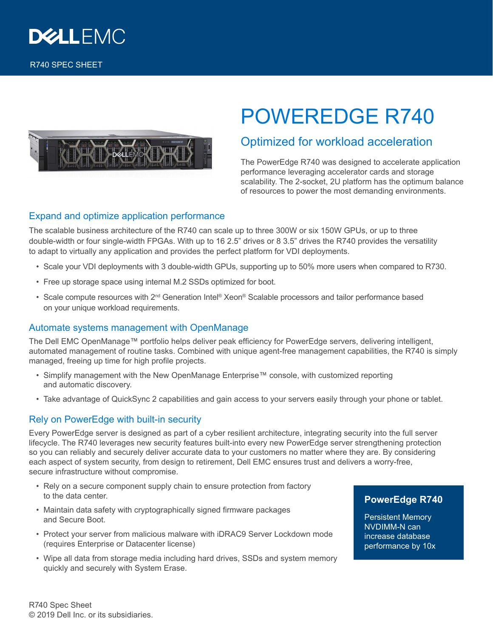



# POWEREDGE R740

## Optimized for workload acceleration

The PowerEdge R740 was designed to accelerate application performance leveraging accelerator cards and storage scalability. The 2-socket, 2U platform has the optimum balance of resources to power the most demanding environments.

#### Expand and optimize application performance

The scalable business architecture of the R740 can scale up to three 300W or six 150W GPUs, or up to three double-width or four single-width FPGAs. With up to 16 2.5" drives or 8 3.5" drives the R740 provides the versatility to adapt to virtually any application and provides the perfect platform for VDI deployments.

- Scale your VDI deployments with 3 double-width GPUs, supporting up to 50% more users when compared to R730.
- Free up storage space using internal M.2 SSDs optimized for boot.
- Scale compute resources with 2<sup>nd</sup> Generation Intel® Xeon® Scalable processors and tailor performance based on your unique workload requirements.

#### Automate systems management with OpenManage

The Dell EMC OpenManage™ portfolio helps deliver peak efficiency for PowerEdge servers, delivering intelligent, automated management of routine tasks. Combined with unique agent-free management capabilities, the R740 is simply managed, freeing up time for high profile projects.

- Simplify management with the New OpenManage Enterprise™ console, with customized reporting and automatic discovery.
- Take advantage of QuickSync 2 capabilities and gain access to your servers easily through your phone or tablet.

### Rely on PowerEdge with built-in security

Every PowerEdge server is designed as part of a cyber resilient architecture, integrating security into the full server lifecycle. The R740 leverages new security features built-into every new PowerEdge server strengthening protection so you can reliably and securely deliver accurate data to your customers no matter where they are. By considering each aspect of system security, from design to retirement, Dell EMC ensures trust and delivers a worry-free, secure infrastructure without compromise.

- Rely on a secure component supply chain to ensure protection from factory to the data center.
- Maintain data safety with cryptographically signed firmware packages and Secure Boot.
- Protect your server from malicious malware with iDRAC9 Server Lockdown mode (requires Enterprise or Datacenter license)
- Wipe all data from storage media including hard drives, SSDs and system memory quickly and securely with System Erase.

#### **PowerEdge R740**

Persistent Memory NVDIMM-N can increase database performance by 10x